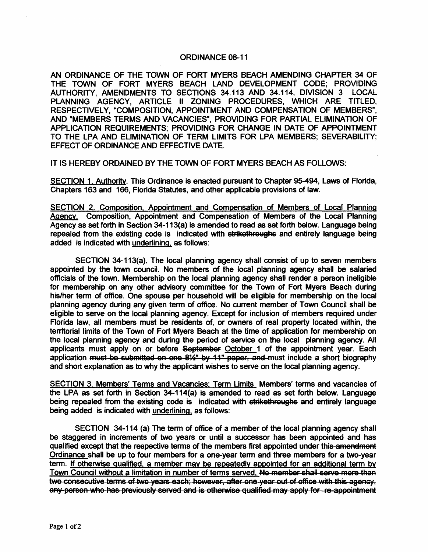## ORDINANCE 08-11

AN ORDINANCE OF THE TOWN OF FORT MYERS BEACH AMENDING CHAPTER 34 OF THE TOWN OF FORT MYERS BEACH LAND DEVELOPMENT CODE; PROVIDING AUTHORITY, AMENDMENTS TO SECTIONS 34.113 AND 34.114, DIVISION 3 LOCAL PLANNING AGENCY, ARTICLE II ZONING PROCEDURES, WHICH ARE TITLED, RESPECTIVELY, "COMPOSITION, APPOINTMENT AND COMPENSATION OF MEMBERS", AND "MEMBERS TERMS AND VACANCIES", PROVIDING FOR PARTIAL ELIMINATION OF APPLICATION REQUIREMENTS; PROVIDING FOR CHANGE IN DATE OF APPOINTMENT TO THE LPA AND ELIMINATION OF TERM LIMITS FOR LPA MEMBERS; SEVERABILITY; EFFECT OF ORDINANCE AND EFFECTIVE DATE.

IT IS HEREBY ORDAINED BY THE TOWN OF FORT MYERS BEACH AS FOLLOWS:

SECTION 1. Authority. This Ordinance is enacted pursuant to Chapter 95-494, Laws of Florida, Chapters 163 and 166, Florida Statutes, and other applicable provisions of law.

SECTION 2. Composition. Appointment and Compensation of Members of Local Planning Agency. Composition, Appointment and Compensation of Members of the Local Planning Agency as set forth in Section 34-113(a) is amended to read as set forth below. Language being repealed from the existing code is indicated with strikethroughs and entirely language being added is indicated with underlining. as follows:

SECTION 34-113(a), The local planning agency shall consist of up to seven members appointed by the town council. No members of the local planning agency shall be salaried officials of the town. Membership on the local planning agency shall render a person ineligible for membership on any other advisory committee for the Town of Fort Myers Beach during his/her term of office. One spouse per household will be eligible for membership on the local planning agency during any given term of office. No current member of Town Council shall be eligible to serve on the local planning agency. Except for inclusion of members required under Florida law, all members must be residents of, or owners of real property located within, the territorial limits of the Town of Fort Myers Beach at the time of application for membership on the local planning agency and during the period of service on the local planning agency. All applicants must apply on or before September October 1 of the appointment year. Each application must be submitted on one 8%" by 11" paper, and must include a short biography and short explanation as to why the applicant wishes to serve on the local planning agency.

SECTION 3. Members' Terms and Vacancies: Term Limits Members' terms and vacancies of the LPA as set forth in Section 34-114(a) is amended to read as set forth below. Language being repealed from the existing code is indicated with strikethroughs and entirely language being added is indicated with underlining. as follows:

SECTION 34-114 (a) The term of office of a member of the local planning agency shall be staggered in increments of two years or until a successor has been appointed and has qualified except that the respective terms of the members first appointed under this amendment Ordinance shall be up to four members for a one-year term and three members for a two-year term. If otherwise qualified. a member may be repeatedly appointed for an additional term by Town Council without a limitation in number of terms served. No member shall serve more than two consecutive terms of two years each; however, after one year out of office with this agency, any person who has previously served and is otherwise qualified may apply for re-appointment